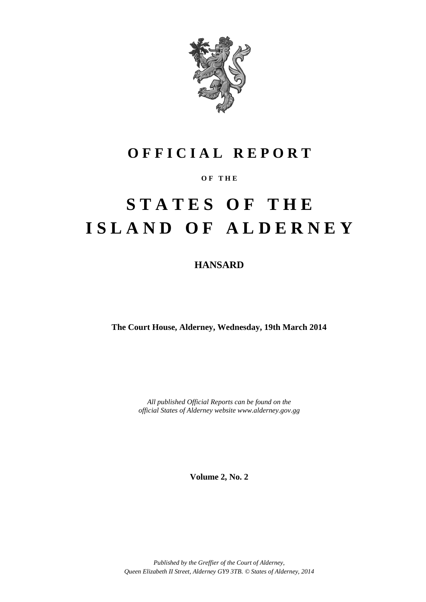

### **O F F I C I A L R E P O R T**

### **O F T H E**

# **S T A T E S O F T H E I S L A N D O F A L D E R N E Y**

**HANSARD**

**The Court House, Alderney, Wednesday, 19th March 2014**

*All published Official Reports can be found on the official States of Alderney website www.alderney.gov.gg*

**Volume 2, No. 2**

*Published by the Greffier of the Court of Alderney, Queen Elizabeth II Street, Alderney GY9 3TB. © States of Alderney, 2014*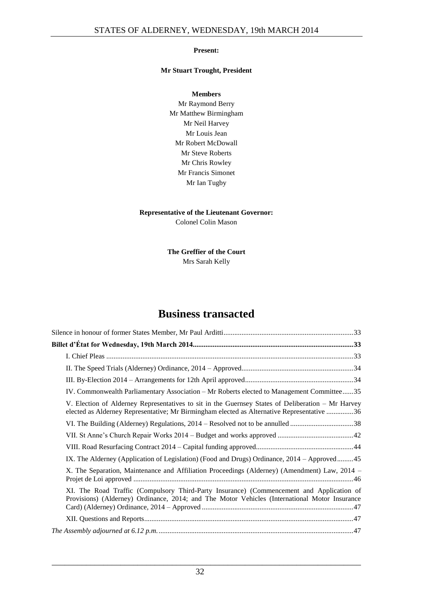#### **Present:**

#### **Mr Stuart Trought, President**

**Members** Mr Raymond Berry Mr Matthew Birmingham Mr Neil Harvey Mr Louis Jean Mr Robert McDowall Mr Steve Roberts Mr Chris Rowley Mr Francis Simonet Mr Ian Tugby

### **Representative of the Lieutenant Governor:**

Colonel Colin Mason

**The Greffier of the Court** Mrs Sarah Kelly

### **Business transacted**

| IV. Commonwealth Parliamentary Association – Mr Roberts elected to Management Committee35                                                                                                       |
|-------------------------------------------------------------------------------------------------------------------------------------------------------------------------------------------------|
| V. Election of Alderney Representatives to sit in the Guernsey States of Deliberation – Mr Harvey<br>elected as Alderney Representative; Mr Birmingham elected as Alternative Representative 36 |
| VI. The Building (Alderney) Regulations, 2014 – Resolved not to be annulled 38                                                                                                                  |
|                                                                                                                                                                                                 |
|                                                                                                                                                                                                 |
| IX. The Alderney (Application of Legislation) (Food and Drugs) Ordinance, 2014 – Approved45                                                                                                     |
| X. The Separation, Maintenance and Affiliation Proceedings (Alderney) (Amendment) Law, 2014 –                                                                                                   |
| XI. The Road Traffic (Compulsory Third-Party Insurance) (Commencement and Application of<br>Provisions) (Alderney) Ordinance, 2014; and The Motor Vehicles (International Motor Insurance       |
|                                                                                                                                                                                                 |
|                                                                                                                                                                                                 |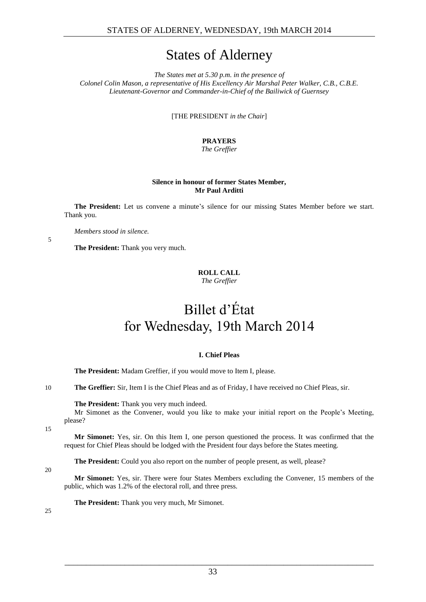### States of Alderney

*The States met at 5.30 p.m. in the presence of Colonel Colin Mason, a representative of His Excellency Air Marshal Peter Walker, C.B., C.B.E. Lieutenant-Governor and Commander-in-Chief of the Bailiwick of Guernsey*

[THE PRESIDENT *in the Chair*]

### **PRAYERS**

#### *The Greffier*

#### **Silence in honour of former States Member, Mr Paul Arditti**

<span id="page-2-0"></span>**The President:** Let us convene a minute's silence for our missing States Member before we start. Thank you.

*Members stood in silence.*

<span id="page-2-1"></span>**The President:** Thank you very much.

### **ROLL CALL**

*The Greffier*

## Billet d'État for Wednesday, 19th March 2014

#### **I. Chief Pleas**

<span id="page-2-2"></span>**The President:** Madam Greffier, if you would move to Item I, please.

10 **The Greffier:** Sir, Item I is the Chief Pleas and as of Friday, I have received no Chief Pleas, sir.

**The President:** Thank you very much indeed.

Mr Simonet as the Convener, would you like to make your initial report on the People's Meeting, please?

15

5

**Mr Simonet:** Yes, sir. On this Item I, one person questioned the process. It was confirmed that the request for Chief Pleas should be lodged with the President four days before the States meeting.

**The President:** Could you also report on the number of people present, as well, please?

#### 20

**Mr Simonet:** Yes, sir. There were four States Members excluding the Convener, 15 members of the public, which was 1.2% of the electoral roll, and three press.

**The President:** Thank you very much, Mr Simonet.

 $25$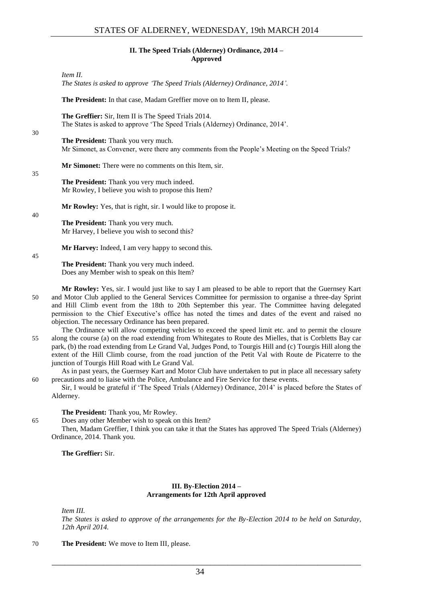#### **II. The Speed Trials (Alderney) Ordinance, 2014 – Approved**

<span id="page-3-0"></span>*Item II.*

*The States is asked to approve 'The Speed Trials (Alderney) Ordinance, 2014'.*

**The President:** In that case, Madam Greffier move on to Item II, please.

**The Greffier:** Sir, Item II is The Speed Trials 2014. The States is asked to approve 'The Speed Trials (Alderney) Ordinance, 2014'.

**The President:** Thank you very much. Mr Simonet, as Convener, were there any comments from the People's Meeting on the Speed Trials?

**Mr Simonet:** There were no comments on this Item, sir.

35

30

**The President:** Thank you very much indeed. Mr Rowley, I believe you wish to propose this Item?

**Mr Rowley:** Yes, that is right, sir. I would like to propose it.

40

**The President:** Thank you very much. Mr Harvey, I believe you wish to second this?

**Mr Harvey:** Indeed, I am very happy to second this.

45

**The President:** Thank you very much indeed. Does any Member wish to speak on this Item?

- **Mr Rowley:** Yes, sir. I would just like to say I am pleased to be able to report that the Guernsey Kart 50 and Motor Club applied to the General Services Committee for permission to organise a three-day Sprint and Hill Climb event from the 18th to 20th September this year. The Committee having delegated permission to the Chief Executive's office has noted the times and dates of the event and raised no objection. The necessary Ordinance has been prepared.
- The Ordinance will allow competing vehicles to exceed the speed limit etc. and to permit the closure 55 along the course (a) on the road extending from Whitegates to Route des Mielles, that is Corbletts Bay car park, (b) the road extending from Le Grand Val, Judges Pond, to Tourgis Hill and (c) Tourgis Hill along the extent of the Hill Climb course, from the road junction of the Petit Val with Route de Picaterre to the junction of Tourgis Hill Road with Le Grand Val.

As in past years, the Guernsey Kart and Motor Club have undertaken to put in place all necessary safety 60 precautions and to liaise with the Police, Ambulance and Fire Service for these events.

Sir, I would be grateful if 'The Speed Trials (Alderney) Ordinance, 2014' is placed before the States of Alderney.

**The President:** Thank you, Mr Rowley.

65 Does any other Member wish to speak on this Item?

Then, Madam Greffier, I think you can take it that the States has approved The Speed Trials (Alderney) Ordinance, 2014. Thank you.

**The Greffier:** Sir.

#### **III. By-Election 2014 – Arrangements for 12th April approved**

<span id="page-3-1"></span>*Item III.*

*The States is asked to approve of the arrangements for the By-Election 2014 to be held on Saturday, 12th April 2014.*

70 **The President:** We move to Item III, please.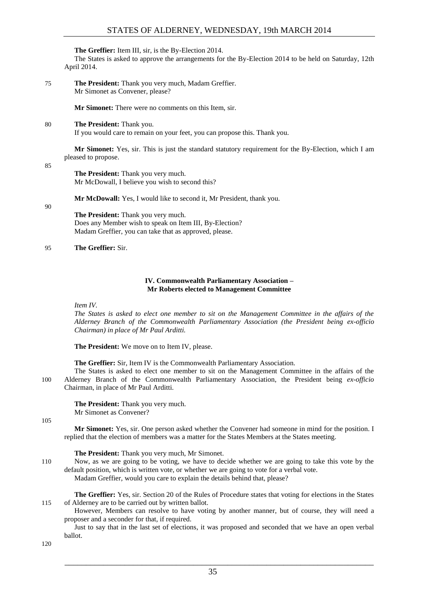#### **The Greffier:** Item III, sir, is the By-Election 2014.

The States is asked to approve the arrangements for the By-Election 2014 to be held on Saturday, 12th April 2014.

75 **The President:** Thank you very much, Madam Greffier. Mr Simonet as Convener, please?

**Mr Simonet:** There were no comments on this Item, sir.

80 **The President:** Thank you.

If you would care to remain on your feet, you can propose this. Thank you.

**Mr Simonet:** Yes, sir. This is just the standard statutory requirement for the By-Election, which I am pleased to propose.

85

**The President:** Thank you very much. Mr McDowall, I believe you wish to second this?

**Mr McDowall:** Yes, I would like to second it, Mr President, thank you.

90

**The President:** Thank you very much. Does any Member wish to speak on Item III, By-Election? Madam Greffier, you can take that as approved, please.

#### 95 **The Greffier:** Sir.

#### **IV. Commonwealth Parliamentary Association – Mr Roberts elected to Management Committee**

<span id="page-4-0"></span>*Item IV.*

*The States is asked to elect one member to sit on the Management Committee in the affairs of the Alderney Branch of the Commonwealth Parliamentary Association (the President being ex-officio Chairman) in place of Mr Paul Arditti.*

**The President:** We move on to Item IV, please.

**The Greffier:** Sir, Item IV is the Commonwealth Parliamentary Association.

The States is asked to elect one member to sit on the Management Committee in the affairs of the 100 Alderney Branch of the Commonwealth Parliamentary Association, the President being *ex-officio* Chairman, in place of Mr Paul Arditti.

**The President:** Thank you very much. Mr Simonet as Convener?

105

**Mr Simonet:** Yes, sir. One person asked whether the Convener had someone in mind for the position. I replied that the election of members was a matter for the States Members at the States meeting.

**The President:** Thank you very much, Mr Simonet.

110 Now, as we are going to be voting, we have to decide whether we are going to take this vote by the default position, which is written vote, or whether we are going to vote for a verbal vote.

Madam Greffier, would you care to explain the details behind that, please?

**The Greffier:** Yes, sir. Section 20 of the Rules of Procedure states that voting for elections in the States 115 of Alderney are to be carried out by written ballot.

However, Members can resolve to have voting by another manner, but of course, they will need a proposer and a seconder for that, if required.

Just to say that in the last set of elections, it was proposed and seconded that we have an open verbal ballot.

120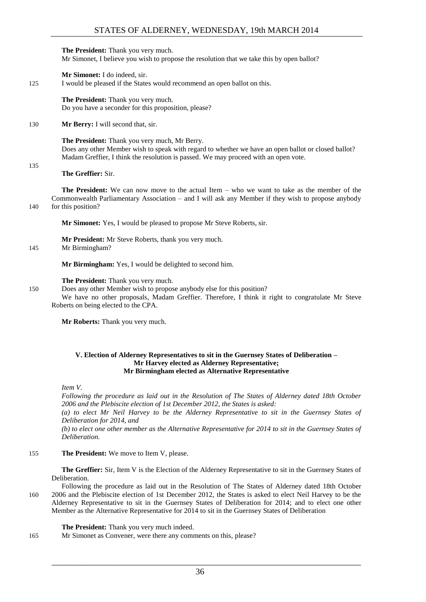**The President:** Thank you very much. Mr Simonet, I believe you wish to propose the resolution that we take this by open ballot?

**Mr Simonet:** I do indeed, sir.

125 I would be pleased if the States would recommend an open ballot on this.

**The President:** Thank you very much. Do you have a seconder for this proposition, please?

130 **Mr Berry:** I will second that, sir.

**The President:** Thank you very much, Mr Berry. Does any other Member wish to speak with regard to whether we have an open ballot or closed ballot? Madam Greffier, I think the resolution is passed. We may proceed with an open vote.

#### **The Greffier:** Sir.

135

**The President:** We can now move to the actual Item – who we want to take as the member of the Commonwealth Parliamentary Association – and I will ask any Member if they wish to propose anybody 140 for this position?

**Mr Simonet:** Yes, I would be pleased to propose Mr Steve Roberts, sir.

**Mr President:** Mr Steve Roberts, thank you very much.

145 Mr Birmingham?

**Mr Birmingham:** Yes, I would be delighted to second him.

#### **The President:** Thank you very much.

150 Does any other Member wish to propose anybody else for this position? We have no other proposals, Madam Greffier. Therefore, I think it right to congratulate Mr Steve Roberts on being elected to the CPA.

**Mr Roberts:** Thank you very much.

#### <span id="page-5-0"></span>**V. Election of Alderney Representatives to sit in the Guernsey States of Deliberation – Mr Harvey elected as Alderney Representative; Mr Birmingham elected as Alternative Representative**

*Item V.*

*Following the procedure as laid out in the Resolution of The States of Alderney dated 18th October 2006 and the Plebiscite election of 1st December 2012, the States is asked:*

*(a) to elect Mr Neil Harvey to be the Alderney Representative to sit in the Guernsey States of Deliberation for 2014, and* 

*(b) to elect one other member as the Alternative Representative for 2014 to sit in the Guernsey States of Deliberation.* 

155 **The President:** We move to Item V, please.

**The Greffier:** Sir, Item V is the Election of the Alderney Representative to sit in the Guernsey States of Deliberation.

Following the procedure as laid out in the Resolution of The States of Alderney dated 18th October 160 2006 and the Plebiscite election of 1st December 2012, the States is asked to elect Neil Harvey to be the Alderney Representative to sit in the Guernsey States of Deliberation for 2014; and to elect one other Member as the Alternative Representative for 2014 to sit in the Guernsey States of Deliberation

#### **The President:** Thank you very much indeed.

165 Mr Simonet as Convener, were there any comments on this, please?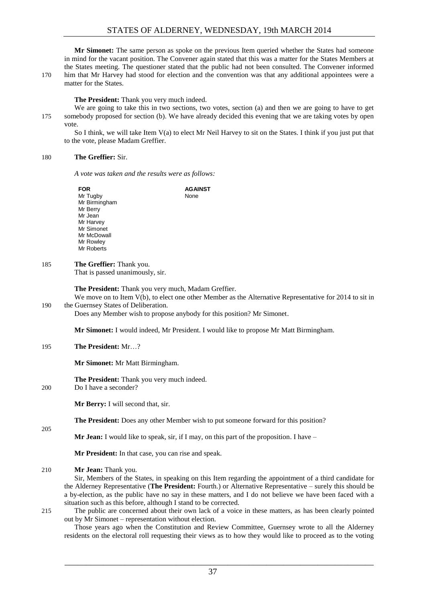**Mr Simonet:** The same person as spoke on the previous Item queried whether the States had someone in mind for the vacant position. The Convener again stated that this was a matter for the States Members at the States meeting. The questioner stated that the public had not been consulted. The Convener informed 170 him that Mr Harvey had stood for election and the convention was that any additional appointees were a matter for the States.

**The President:** Thank you very much indeed.

We are going to take this in two sections, two votes, section (a) and then we are going to have to get 175 somebody proposed for section (b). We have already decided this evening that we are taking votes by open vote.

So I think, we will take Item V(a) to elect Mr Neil Harvey to sit on the States. I think if you just put that to the vote, please Madam Greffier.

#### 180 **The Greffier:** Sir.

*A vote was taken and the results were as follows:*

| <b>FOR</b>        | <b>AGAINST</b> |
|-------------------|----------------|
| Mr Tugby          | None           |
| Mr Birmingham     |                |
| Mr Berry          |                |
| Mr Jean           |                |
| Mr Harvey         |                |
| Mr Simonet        |                |
| Mr McDowall       |                |
| Mr Rowley         |                |
| <b>Mr Roberts</b> |                |

#### 185 **The Greffier:** Thank you.

That is passed unanimously, sir.

**The President:** Thank you very much, Madam Greffier.

We move on to Item V(b), to elect one other Member as the Alternative Representative for 2014 to sit in 190 the Guernsey States of Deliberation.

Does any Member wish to propose anybody for this position? Mr Simonet.

**Mr Simonet:** I would indeed, Mr President. I would like to propose Mr Matt Birmingham.

#### 195 **The President:** Mr…?

**Mr Simonet:** Mr Matt Birmingham.

**The President:** Thank you very much indeed.

200 Do I have a seconder?

**Mr Berry:** I will second that, sir.

**The President:** Does any other Member wish to put someone forward for this position?

**Mr Jean:** I would like to speak, sir, if I may, on this part of the proposition. I have –

**Mr President:** In that case, you can rise and speak.

210 **Mr Jean:** Thank you.

Sir, Members of the States, in speaking on this Item regarding the appointment of a third candidate for the Alderney Representative (**The President:** Fourth.) or Alternative Representative – surely this should be a by-election, as the public have no say in these matters, and I do not believe we have been faced with a situation such as this before, although I stand to be corrected.

 $205$ 

215 The public are concerned about their own lack of a voice in these matters, as has been clearly pointed out by Mr Simonet – representation without election.

Those years ago when the Constitution and Review Committee, Guernsey wrote to all the Alderney residents on the electoral roll requesting their views as to how they would like to proceed as to the voting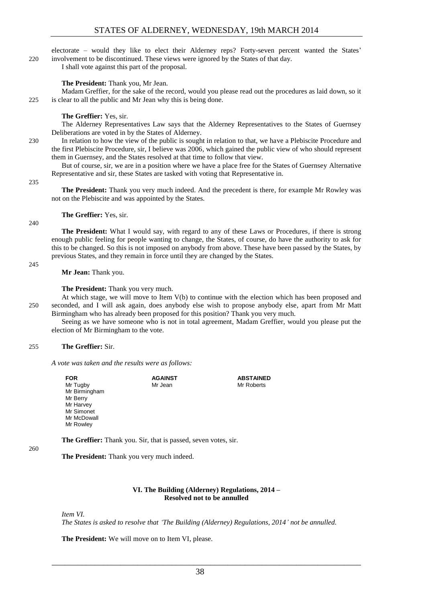electorate – would they like to elect their Alderney reps? Forty-seven percent wanted the States' 220 involvement to be discontinued. These views were ignored by the States of that day.

I shall vote against this part of the proposal.

#### **The President:** Thank you, Mr Jean.

Madam Greffier, for the sake of the record, would you please read out the procedures as laid down, so it 225 is clear to all the public and Mr Jean why this is being done.

#### **The Greffier:** Yes, sir.

The Alderney Representatives Law says that the Alderney Representatives to the States of Guernsey Deliberations are voted in by the States of Alderney.

230 In relation to how the view of the public is sought in relation to that, we have a Plebiscite Procedure and the first Plebiscite Procedure, sir, I believe was 2006, which gained the public view of who should represent them in Guernsey, and the States resolved at that time to follow that view.

But of course, sir, we are in a position where we have a place free for the States of Guernsey Alternative Representative and sir, these States are tasked with voting that Representative in.

235

**The President:** Thank you very much indeed. And the precedent is there, for example Mr Rowley was not on the Plebiscite and was appointed by the States.

#### **The Greffier:** Yes, sir.

240

**The President:** What I would say, with regard to any of these Laws or Procedures, if there is strong enough public feeling for people wanting to change, the States, of course, do have the authority to ask for this to be changed. So this is not imposed on anybody from above. These have been passed by the States, by previous States, and they remain in force until they are changed by the States.

245

**Mr Jean:** Thank you.

**The President:** Thank you very much.

At which stage, we will move to Item V(b) to continue with the election which has been proposed and 250 seconded, and I will ask again, does anybody else wish to propose anybody else, apart from Mr Matt Birmingham who has already been proposed for this position? Thank you very much.

Seeing as we have someone who is not in total agreement, Madam Greffier, would you please put the election of Mr Birmingham to the vote.

#### 255 **The Greffier:** Sir.

*A vote was taken and the results were as follows:*

| FOR           | <b>AGAINST</b> | <b>ABSTAINED</b> |
|---------------|----------------|------------------|
| Mr Tugby      | Mr Jean        | Mr Roberts       |
| Mr Birmingham |                |                  |
| Mr Berry      |                |                  |
| Mr Harvey     |                |                  |
| Mr Simonet    |                |                  |
| Mr McDowall   |                |                  |
| Mr Rowley     |                |                  |

**The Greffier:** Thank you. Sir, that is passed, seven votes, sir.

#### 260

**The President:** Thank you very much indeed.

#### **VI. The Building (Alderney) Regulations, 2014 – Resolved not to be annulled**

<span id="page-7-0"></span>*Item VI.*

*The States is asked to resolve that 'The Building (Alderney) Regulations, 2014' not be annulled.*

**The President:** We will move on to Item VI, please.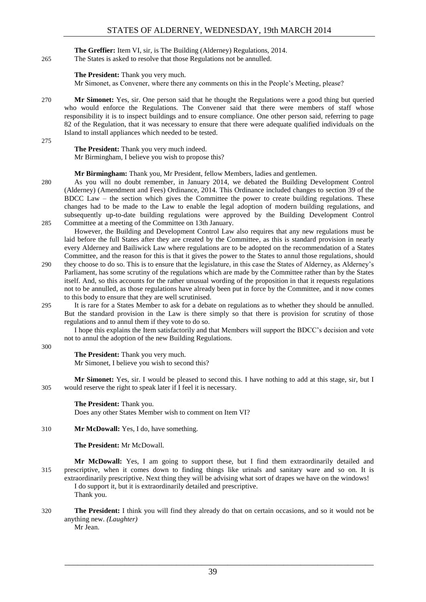**The Greffier:** Item VI, sir, is The Building (Alderney) Regulations, 2014. 265 The States is asked to resolve that those Regulations not be annulled.

**The President:** Thank you very much.

Mr Simonet, as Convener, where there any comments on this in the People's Meeting, please?

270 **Mr Simonet:** Yes, sir. One person said that he thought the Regulations were a good thing but queried who would enforce the Regulations. The Convener said that there were members of staff whose responsibility it is to inspect buildings and to ensure compliance. One other person said, referring to page 82 of the Regulation, that it was necessary to ensure that there were adequate qualified individuals on the Island to install appliances which needed to be tested.

275

**The President:** Thank you very much indeed. Mr Birmingham, I believe you wish to propose this?

#### **Mr Birmingham:** Thank you, Mr President, fellow Members, ladies and gentlemen.

280 As you will no doubt remember, in January 2014, we debated the Building Development Control (Alderney) (Amendment and Fees) Ordinance, 2014. This Ordinance included changes to section 39 of the BDCC Law – the section which gives the Committee the power to create building regulations. These changes had to be made to the Law to enable the legal adoption of modern building regulations, and subsequently up-to-date building regulations were approved by the Building Development Control 285 Committee at a meeting of the Committee on 13th January.

However, the Building and Development Control Law also requires that any new regulations must be laid before the full States after they are created by the Committee, as this is standard provision in nearly every Alderney and Bailiwick Law where regulations are to be adopted on the recommendation of a States Committee, and the reason for this is that it gives the power to the States to annul those regulations, should

- 290 they choose to do so. This is to ensure that the legislature, in this case the States of Alderney, as Alderney's Parliament, has some scrutiny of the regulations which are made by the Committee rather than by the States itself. And, so this accounts for the rather unusual wording of the proposition in that it requests regulations not to be annulled, as those regulations have already been put in force by the Committee, and it now comes to this body to ensure that they are well scrutinised.
- 295 It is rare for a States Member to ask for a debate on regulations as to whether they should be annulled. But the standard provision in the Law is there simply so that there is provision for scrutiny of those regulations and to annul them if they vote to do so.

I hope this explains the Item satisfactorily and that Members will support the BDCC's decision and vote not to annul the adoption of the new Building Regulations.

300

#### **The President:** Thank you very much.

Mr Simonet, I believe you wish to second this?

**Mr Simonet:** Yes, sir. I would be pleased to second this. I have nothing to add at this stage, sir, but I 305 would reserve the right to speak later if I feel it is necessary.

**The President:** Thank you. Does any other States Member wish to comment on Item VI?

#### 310 **Mr McDowall:** Yes, I do, have something.

#### **The President:** Mr McDowall.

**Mr McDowall:** Yes, I am going to support these, but I find them extraordinarily detailed and 315 prescriptive, when it comes down to finding things like urinals and sanitary ware and so on. It is extraordinarily prescriptive. Next thing they will be advising what sort of drapes we have on the windows! I do support it, but it is extraordinarily detailed and prescriptive.

Thank you.

320 **The President:** I think you will find they already do that on certain occasions, and so it would not be anything new. *(Laughter)*

Mr Jean.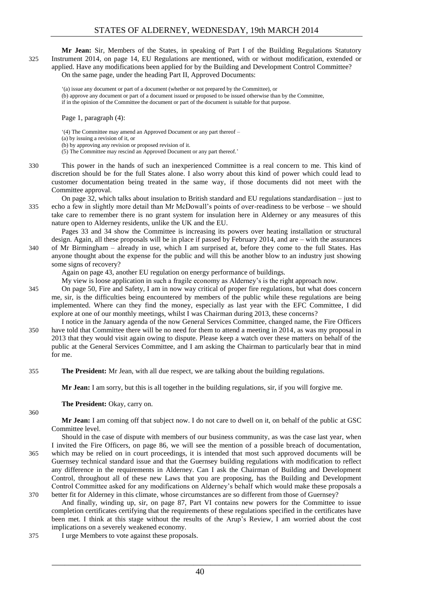**Mr Jean:** Sir, Members of the States, in speaking of Part I of the Building Regulations Statutory 325 Instrument 2014, on page 14, EU Regulations are mentioned, with or without modification, extended or applied. Have any modifications been applied for by the Building and Development Control Committee?

On the same page, under the heading Part II, Approved Documents:

'(a) issue any document or part of a document (whether or not prepared by the Committee), or (b) approve any document or part of a document issued or proposed to be issued otherwise than by the Committee, if in the opinion of the Committee the document or part of the document is suitable for that purpose.

Page 1, paragraph (4):

'(4) The Committee may amend an Approved Document or any part thereof – (a) by issuing a revision of it, or (b) by approving any revision or proposed revision of it. (5) The Committee may rescind an Approved Document or any part thereof.'

- 330 This power in the hands of such an inexperienced Committee is a real concern to me. This kind of discretion should be for the full States alone. I also worry about this kind of power which could lead to customer documentation being treated in the same way, if those documents did not meet with the Committee approval.
- On page 32, which talks about insulation to British standard and EU regulations standardisation just to 335 echo a few in slightly more detail than Mr McDowall's points of over-readiness to be verbose – we should take care to remember there is no grant system for insulation here in Alderney or any measures of this nature open to Alderney residents, unlike the UK and the EU.

Pages 33 and 34 show the Committee is increasing its powers over heating installation or structural design. Again, all these proposals will be in place if passed by February 2014, and are – with the assurances 340 of Mr Birmingham – already in use, which I am surprised at, before they come to the full States. Has anyone thought about the expense for the public and will this be another blow to an industry just showing

some signs of recovery?

Again on page 43, another EU regulation on energy performance of buildings.

My view is loose application in such a fragile economy as Alderney's is the right approach now.

- 345 On page 50, Fire and Safety, I am in now way critical of proper fire regulations, but what does concern me, sir, is the difficulties being encountered by members of the public while these regulations are being implemented. Where can they find the money, especially as last year with the EFC Committee, I did explore at one of our monthly meetings, whilst I was Chairman during 2013, these concerns?
- I notice in the January agenda of the now General Services Committee, changed name, the Fire Officers 350 have told that Committee there will be no need for them to attend a meeting in 2014, as was my proposal in 2013 that they would visit again owing to dispute. Please keep a watch over these matters on behalf of the public at the General Services Committee, and I am asking the Chairman to particularly bear that in mind for me.
- 355 **The President:** Mr Jean, with all due respect, we are talking about the building regulations.

**Mr Jean:** I am sorry, but this is all together in the building regulations, sir, if you will forgive me.

**The President:** Okay, carry on.

360

**Mr Jean:** I am coming off that subject now. I do not care to dwell on it, on behalf of the public at GSC Committee level.

- Should in the case of dispute with members of our business community, as was the case last year, when I invited the Fire Officers, on page 86, we will see the mention of a possible breach of documentation, 365 which may be relied on in court proceedings, it is intended that most such approved documents will be Guernsey technical standard issue and that the Guernsey building regulations with modification to reflect any difference in the requirements in Alderney. Can I ask the Chairman of Building and Development Control, throughout all of these new Laws that you are proposing, has the Building and Development Control Committee asked for any modifications on Alderney's behalf which would make these proposals a 370 better fit for Alderney in this climate, whose circumstances are so different from those of Guernsey?
	- And finally, winding up, sir, on page 87, Part VI contains new powers for the Committee to issue completion certificates certifying that the requirements of these regulations specified in the certificates have been met. I think at this stage without the results of the Arup's Review, I am worried about the cost implications on a severely weakened economy.
- 375 I urge Members to vote against these proposals.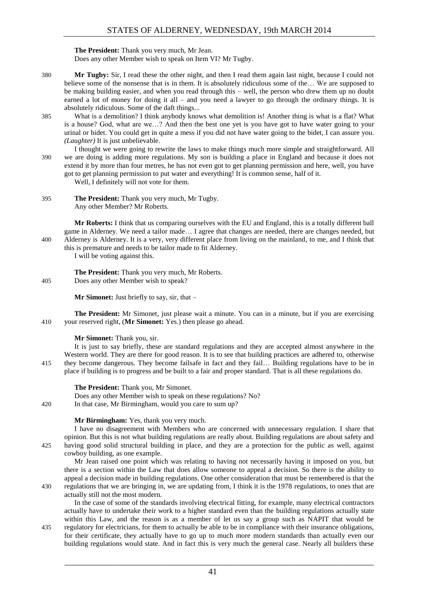**The President:** Thank you very much, Mr Jean. Does any other Member wish to speak on Item VI? Mr Tugby.

- 380 **Mr Tugby:** Sir, I read these the other night, and then I read them again last night, because I could not believe some of the nonsense that is in them. It is absolutely ridiculous some of the… We are supposed to be making building easier, and when you read through this – well, the person who drew them up no doubt earned a lot of money for doing it all – and you need a lawyer to go through the ordinary things. It is absolutely ridiculous. Some of the daft things...
- 385 What is a demolition? I think anybody knows what demolition is! Another thing is what is a flat? What is a house? God, what are we…? And then the best one yet is you have got to have water going to your urinal or bidet. You could get in quite a mess if you did not have water going to the bidet, I can assure you. *(Laughter)* It is just unbelievable.
- I thought we were going to rewrite the laws to make things much more simple and straightforward. All 390 we are doing is adding more regulations. My son is building a place in England and because it does not extend it by more than four metres, he has not even got to get planning permission and here, well, you have got to get planning permission to put water and everything! It is common sense, half of it.

Well, I definitely will not vote for them.

395 **The President:** Thank you very much, Mr Tugby. Any other Member? Mr Roberts.

**Mr Roberts:** I think that us comparing ourselves with the EU and England, this is a totally different ball game in Alderney. We need a tailor made… I agree that changes are needed, there are changes needed, but 400 Alderney is Alderney. It is a very, very different place from living on the mainland, to me, and I think that this is premature and needs to be tailor made to fit Alderney.

I will be voting against this.

**The President:** Thank you very much, Mr Roberts. 405 Does any other Member wish to speak?

**Mr Simonet:** Just briefly to say, sir, that –

**The President:** Mr Simonet, just please wait a minute. You can in a minute, but if you are exercising 410 your reserved right, (**Mr Simonet:** Yes.) then please go ahead.

#### **Mr Simonet:** Thank you, sir.

It is just to say briefly, these are standard regulations and they are accepted almost anywhere in the Western world. They are there for good reason. It is to see that building practices are adhered to, otherwise 415 they become dangerous. They become failsafe in fact and they fail… Building regulations have to be in place if building is to progress and be built to a fair and proper standard. That is all these regulations do.

#### **The President:** Thank you, Mr Simonet.

Does any other Member wish to speak on these regulations? No?

420 In that case, Mr Birmingham, would you care to sum up?

#### **Mr Birmingham:** Yes, thank you very much.

I have no disagreement with Members who are concerned with unnecessary regulation. I share that opinion. But this is not what building regulations are really about. Building regulations are about safety and 425 having good solid structural building in place, and they are a protection for the public as well, against cowboy building, as one example.

Mr Jean raised one point which was relating to having not necessarily having it imposed on you, but there is a section within the Law that does allow someone to appeal a decision. So there is the ability to appeal a decision made in building regulations. One other consideration that must be remembered is that the 430 regulations that we are bringing in, we are updating from, I think it is the 1978 regulations, to ones that are

actually still not the most modern.

In the case of some of the standards involving electrical fitting, for example, many electrical contractors actually have to undertake their work to a higher standard even than the building regulations actually state within this Law, and the reason is as a member of let us say a group such as NAPIT that would be

435 regulatory for electricians, for them to actually be able to be in compliance with their insurance obligations, for their certificate, they actually have to go up to much more modern standards than actually even our building regulations would state. And in fact this is very much the general case. Nearly all builders these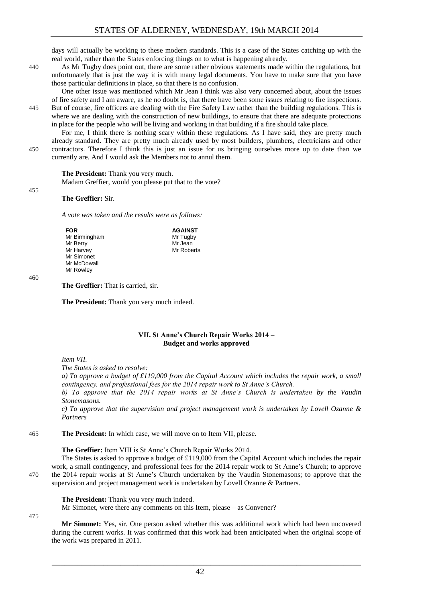days will actually be working to these modern standards. This is a case of the States catching up with the real world, rather than the States enforcing things on to what is happening already.

440 As Mr Tugby does point out, there are some rather obvious statements made within the regulations, but unfortunately that is just the way it is with many legal documents. You have to make sure that you have those particular definitions in place, so that there is no confusion.

One other issue was mentioned which Mr Jean I think was also very concerned about, about the issues of fire safety and I am aware, as he no doubt is, that there have been some issues relating to fire inspections. 445 But of course, fire officers are dealing with the Fire Safety Law rather than the building regulations. This is where we are dealing with the construction of new buildings, to ensure that there are adequate protections in place for the people who will be living and working in that building if a fire should take place.

For me, I think there is nothing scary within these regulations. As I have said, they are pretty much already standard. They are pretty much already used by most builders, plumbers, electricians and other 450 contractors. Therefore I think this is just an issue for us bringing ourselves more up to date than we currently are. And I would ask the Members not to annul them.

#### **The President:** Thank you very much.

Madam Greffier, would you please put that to the vote?

#### **The Greffier:** Sir.

*A vote was taken and the results were as follows:*

| FOR           | <b>AGAINST</b> |
|---------------|----------------|
| Mr Birmingham | Mr Tugby       |
| Mr Berry      | Mr Jean        |
| Mr Harvey     | Mr Roberts     |
| Mr Simonet    |                |
| Mr McDowall   |                |
| Mr Rowley     |                |

#### 460

455

**The Greffier:** That is carried, sir.

**The President:** Thank you very much indeed.

#### **VII. St Anne's Church Repair Works 2014 – Budget and works approved**

<span id="page-11-0"></span>*Item VII.*

*The States is asked to resolve:*

*a) To approve a budget of £119,000 from the Capital Account which includes the repair work, a small contingency, and professional fees for the 2014 repair work to St Anne's Church.* 

*b) To approve that the 2014 repair works at St Anne's Church is undertaken by the Vaudin Stonemasons.* 

*c) To approve that the supervision and project management work is undertaken by Lovell Ozanne & Partners* 

465 **The President:** In which case, we will move on to Item VII, please.

#### **The Greffier:** Item VIII is St Anne's Church Repair Works 2014.

The States is asked to approve a budget of £119,000 from the Capital Account which includes the repair work, a small contingency, and professional fees for the 2014 repair work to St Anne's Church; to approve 470 the 2014 repair works at St Anne's Church undertaken by the Vaudin Stonemasons; to approve that the supervision and project management work is undertaken by Lovell Ozanne & Partners.

**The President:** Thank you very much indeed.

Mr Simonet, were there any comments on this Item, please – as Convener?

**Mr Simonet:** Yes, sir. One person asked whether this was additional work which had been uncovered during the current works. It was confirmed that this work had been anticipated when the original scope of the work was prepared in 2011.

\_\_\_\_\_\_\_\_\_\_\_\_\_\_\_\_\_\_\_\_\_\_\_\_\_\_\_\_\_\_\_\_\_\_\_\_\_\_\_\_\_\_\_\_\_\_\_\_\_\_\_\_\_\_\_\_\_\_\_\_\_\_\_\_\_\_\_\_\_\_\_\_

42

475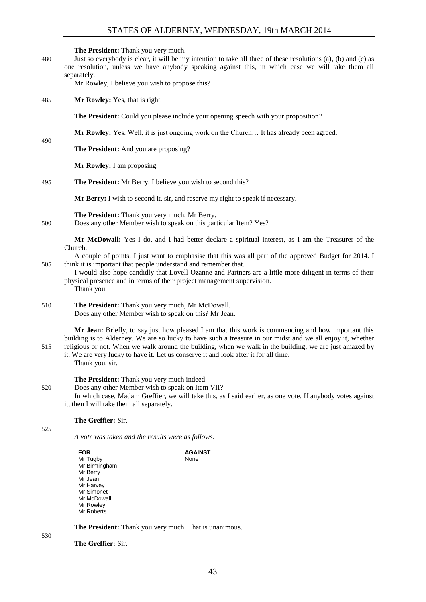#### STATES OF ALDERNEY, WEDNESDAY, 19th MARCH 2014

**The President:** Thank you very much.

480 Just so everybody is clear, it will be my intention to take all three of these resolutions (a), (b) and (c) as one resolution, unless we have anybody speaking against this, in which case we will take them all separately.

Mr Rowley, I believe you wish to propose this?

485 **Mr Rowley:** Yes, that is right.

**The President:** Could you please include your opening speech with your proposition?

**Mr Rowley:** Yes. Well, it is just ongoing work on the Church… It has already been agreed.

**The President:** And you are proposing?

**Mr Rowley:** I am proposing.

495 **The President:** Mr Berry, I believe you wish to second this?

**Mr Berry:** I wish to second it, sir, and reserve my right to speak if necessary.

**The President:** Thank you very much, Mr Berry.

500 Does any other Member wish to speak on this particular Item? Yes?

**Mr McDowall:** Yes I do, and I had better declare a spiritual interest, as I am the Treasurer of the Church.

- A couple of points, I just want to emphasise that this was all part of the approved Budget for 2014. I 505 think it is important that people understand and remember that.
	- I would also hope candidly that Lovell Ozanne and Partners are a little more diligent in terms of their physical presence and in terms of their project management supervision. Thank you.
- 510 **The President:** Thank you very much, Mr McDowall. Does any other Member wish to speak on this? Mr Jean.

**Mr Jean:** Briefly, to say just how pleased I am that this work is commencing and how important this building is to Alderney. We are so lucky to have such a treasure in our midst and we all enjoy it, whether 515 religious or not. When we walk around the building, when we walk in the building, we are just amazed by

it. We are very lucky to have it. Let us conserve it and look after it for all time. Thank you, sir.

**The President:** Thank you very much indeed.

- 520 Does any other Member wish to speak on Item VII?
	- In which case, Madam Greffier, we will take this, as I said earlier, as one vote. If anybody votes against it, then I will take them all separately.

#### **The Greffier:** Sir.

525

490

*A vote was taken and the results were as follows:*

| <b>FOR</b>    | <b>AGAINST</b> |
|---------------|----------------|
| Mr Tugby      | None           |
| Mr Birmingham |                |
| Mr Berry      |                |
| Mr Jean       |                |
| Mr Harvey     |                |
| Mr Simonet    |                |
| Mr McDowall   |                |
| Mr Rowley     |                |
| Mr Roberts    |                |
|               |                |

530

**The President:** Thank you very much. That is unanimous.

**The Greffier:** Sir.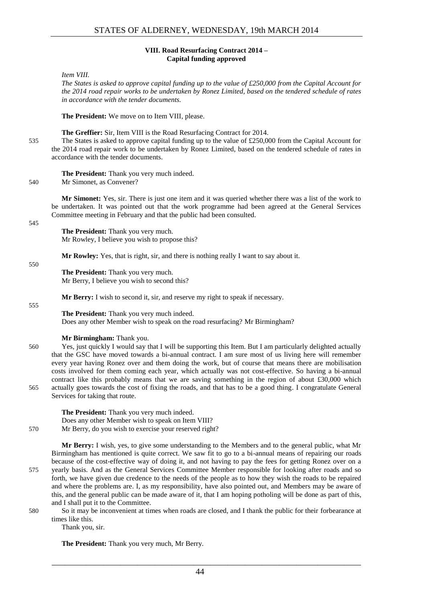#### **VIII. Road Resurfacing Contract 2014 – Capital funding approved**

#### <span id="page-13-0"></span>*Item VIII.*

*The States is asked to approve capital funding up to the value of £250,000 from the Capital Account for the 2014 road repair works to be undertaken by Ronez Limited, based on the tendered schedule of rates in accordance with the tender documents.*

**The President:** We move on to Item VIII, please.

**The Greffier:** Sir, Item VIII is the Road Resurfacing Contract for 2014.

535 The States is asked to approve capital funding up to the value of £250,000 from the Capital Account for the 2014 road repair work to be undertaken by Ronez Limited, based on the tendered schedule of rates in accordance with the tender documents.

**The President:** Thank you very much indeed.

540 Mr Simonet, as Convener?

**Mr Simonet:** Yes, sir. There is just one item and it was queried whether there was a list of the work to be undertaken. It was pointed out that the work programme had been agreed at the General Services Committee meeting in February and that the public had been consulted.

545

**The President:** Thank you very much. Mr Rowley, I believe you wish to propose this?

**Mr Rowley:** Yes, that is right, sir, and there is nothing really I want to say about it.

**The President:** Thank you very much. Mr Berry, I believe you wish to second this?

**Mr Berry:** I wish to second it, sir, and reserve my right to speak if necessary.

#### 555

550

**The President:** Thank you very much indeed. Does any other Member wish to speak on the road resurfacing? Mr Birmingham?

#### **Mr Birmingham:** Thank you.

560 Yes, just quickly I would say that I will be supporting this Item. But I am particularly delighted actually that the GSC have moved towards a bi-annual contract. I am sure most of us living here will remember every year having Ronez over and them doing the work, but of course that means there are mobilisation costs involved for them coming each year, which actually was not cost-effective. So having a bi-annual contract like this probably means that we are saving something in the region of about £30,000 which 565 actually goes towards the cost of fixing the roads, and that has to be a good thing. I congratulate General Services for taking that route.

**The President:** Thank you very much indeed. Does any other Member wish to speak on Item VIII?

570 Mr Berry, do you wish to exercise your reserved right?

**Mr Berry:** I wish, yes, to give some understanding to the Members and to the general public, what Mr Birmingham has mentioned is quite correct. We saw fit to go to a bi-annual means of repairing our roads because of the cost-effective way of doing it, and not having to pay the fees for getting Ronez over on a 575 yearly basis. And as the General Services Committee Member responsible for looking after roads and so forth, we have given due credence to the needs of the people as to how they wish the roads to be repaired and where the problems are. I, as my responsibility, have also pointed out, and Members may be aware of this, and the general public can be made aware of it, that I am hoping potholing will be done as part of this, and I shall put it to the Committee.

- 580 So it may be inconvenient at times when roads are closed, and I thank the public for their forbearance at times like this.
	- Thank you, sir.

**The President:** Thank you very much, Mr Berry.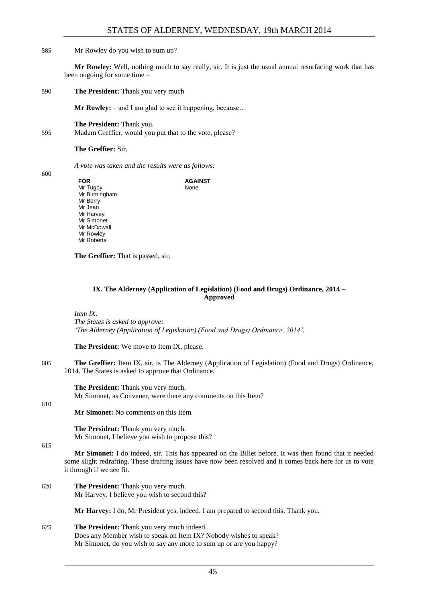#### 585 Mr Rowley do you wish to sum up?

**Mr Rowley:** Well, nothing much to say really, sir. It is just the usual annual resurfacing work that has been ongoing for some time –

590 **The President:** Thank you very much

**Mr Rowley:** – and I am glad to see it happening, because…

**The President:** Thank you. 595 Madam Greffier, would you put that to the vote, please?

**The Greffier:** Sir.

*A vote was taken and the results were as follows:*

600

**FOR** Mr Tugby Mr Birmingham Mr Berry Mr Jean Mr Harvey Mr Simonet Mr McDowall Mr Rowley Mr Roberts **AGAINST** None

**The Greffier:** That is passed, sir.

#### **IX. The Alderney (Application of Legislation) (Food and Drugs) Ordinance, 2014 – Approved**

<span id="page-14-0"></span>*Item IX. The States is asked to approve: 'The Alderney (Application of Legislation) (Food and Drugs) Ordinance, 2014'.*

**The President:** We move to Item IX, please.

605 **The Greffier:** Item IX, sir, is The Alderney (Application of Legislation) (Food and Drugs) Ordinance, 2014. The States is asked to approve that Ordinance.

**The President:** Thank you very much. Mr Simonet, as Convener, were there any comments on this Item?

**Mr Simonet:** No comments on this Item.

**The President:** Thank you very much. Mr Simonet, I believe you wish to propose this?

615

610

**Mr Simonet:** I do indeed, sir. This has appeared on the Billet before. It was then found that it needed some slight redrafting. These drafting issues have now been resolved and it comes back here for us to vote it through if we see fit.

620 **The President:** Thank you very much. Mr Harvey, I believe you wish to second this?

**Mr Harvey:** I do, Mr President yes, indeed. I am prepared to second this. Thank you.

625 **The President:** Thank you very much indeed. Does any Member wish to speak on Item IX? Nobody wishes to speak? Mr Simonet, do you wish to say any more to sum up or are you happy?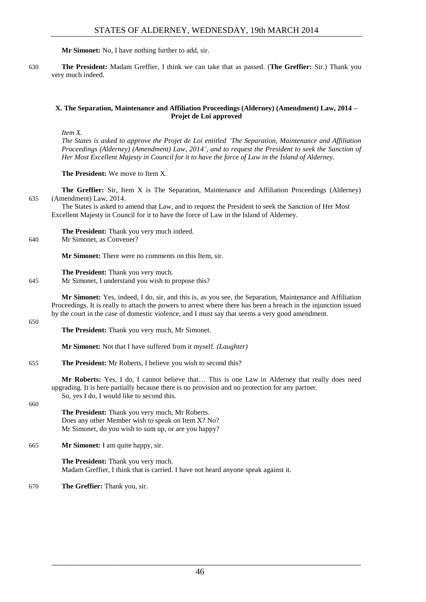**Mr Simonet:** No, I have nothing further to add, sir.

630 **The President:** Madam Greffier, I think we can take that as passed. (**The Greffier:** Sir.) Thank you very much indeed.

#### <span id="page-15-0"></span>**X. The Separation, Maintenance and Affiliation Proceedings (Alderney) (Amendment) Law, 2014 – Projet de Loi approved**

*Item X.*

*The States is asked to approve the Projet de Loi entitled 'The Separation, Maintenance and Affiliation Proceedings (Alderney) (Amendment) Law, 2014', and to request the President to seek the Sanction of Her Most Excellent Majesty in Council for it to have the force of Law in the Island of Alderney.*

**The President:** We move to Item X.

**The Greffier:** Sir, Item X is The Separation, Maintenance and Affiliation Proceedings (Alderney) 635 (Amendment) Law, 2014.

The States is asked to amend that Law, and to request the President to seek the Sanction of Her Most Excellent Majesty in Council for it to have the force of Law in the Island of Alderney.

**The President:** Thank you very much indeed.

640 Mr Simonet, as Convener?

**Mr Simonet:** There were no comments on this Item, sir.

**The President:** Thank you very much.

645 Mr Simonet, I understand you wish to propose this?

**Mr Simonet:** Yes, indeed, I do, sir, and this is, as you see, the Separation, Maintenance and Affiliation Proceedings. It is really to attach the powers to arrest where there has been a breach in the injunction issued by the court in the case of domestic violence, and I must say that seems a very good amendment.

650

**The President:** Thank you very much, Mr Simonet.

**Mr Simonet:** Not that I have suffered from it myself. *(Laughter)*

655 **The President:** Mr Roberts, I believe you wish to second this?

**Mr Roberts:** Yes, I do, I cannot believe that… This is one Law in Alderney that really does need upgrading. It is here partially because there is no provision and no protection for any partner. So, yes I do, I would like to second this.

660

**The President:** Thank you very much, Mr Roberts. Does any other Member wish to speak on Item X? No? Mr Simonet, do you wish to sum up, or are you happy?

665 **Mr Simonet:** I am quite happy, sir.

**The President:** Thank you very much. Madam Greffier, I think that is carried. I have not heard anyone speak against it.

670 **The Greffier:** Thank you, sir.